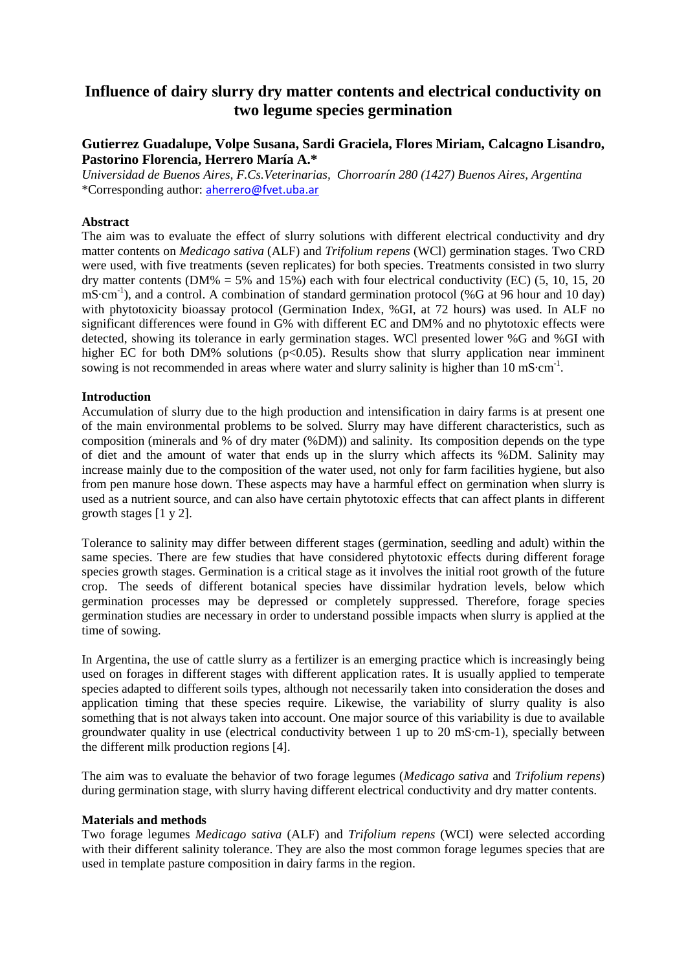# **Influence of dairy slurry dry matter contents and electrical conductivity on two legume species germination**

# **Gutierrez Guadalupe, Volpe Susana, Sardi Graciela, Flores Miriam, Calcagno Lisandro, Pastorino Florencia, Herrero María A.\***

*Universidad de Buenos Aires, F.Cs.Veterinarias, Chorroarín 280 (1427) Buenos Aires, Argentina*  \*Corresponding author: aherrero@fvet.uba.ar

# **Abstract**

The aim was to evaluate the effect of slurry solutions with different electrical conductivity and dry matter contents on *Medicago sativa* (ALF) and *Trifolium repens* (WCl) germination stages. Two CRD were used, with five treatments (seven replicates) for both species. Treatments consisted in two slurry dry matter contents (DM% = 5% and 15%) each with four electrical conductivity (EC) (5, 10, 15, 20 mS·cm<sup>-1</sup>), and a control. A combination of standard germination protocol (%G at 96 hour and 10 day) with phytotoxicity bioassay protocol (Germination Index, %GI, at 72 hours) was used. In ALF no significant differences were found in G% with different EC and DM% and no phytotoxic effects were detected, showing its tolerance in early germination stages. WCl presented lower %G and %GI with higher EC for both DM% solutions (p<0.05). Results show that slurry application near imminent sowing is not recommended in areas where water and slurry salinity is higher than  $10 \text{ mS} \cdot \text{cm}^{-1}$ .

### **Introduction**

Accumulation of slurry due to the high production and intensification in dairy farms is at present one of the main environmental problems to be solved. Slurry may have different characteristics, such as composition (minerals and % of dry mater (%DM)) and salinity. Its composition depends on the type of diet and the amount of water that ends up in the slurry which affects its %DM. Salinity may increase mainly due to the composition of the water used, not only for farm facilities hygiene, but also from pen manure hose down. These aspects may have a harmful effect on germination when slurry is used as a nutrient source, and can also have certain phytotoxic effects that can affect plants in different growth stages [1 y 2].

Tolerance to salinity may differ between different stages (germination, seedling and adult) within the same species. There are few studies that have considered phytotoxic effects during different forage species growth stages. Germination is a critical stage as it involves the initial root growth of the future crop. The seeds of different botanical species have dissimilar hydration levels, below which germination processes may be depressed or completely suppressed. Therefore, forage species germination studies are necessary in order to understand possible impacts when slurry is applied at the time of sowing.

In Argentina, the use of cattle slurry as a fertilizer is an emerging practice which is increasingly being used on forages in different stages with different application rates. It is usually applied to temperate species adapted to different soils types, although not necessarily taken into consideration the doses and application timing that these species require. Likewise, the variability of slurry quality is also something that is not always taken into account. One major source of this variability is due to available groundwater quality in use (electrical conductivity between 1 up to 20 mS·cm-1), specially between the different milk production regions [4].

The aim was to evaluate the behavior of two forage legumes (*Medicago sativa* and *Trifolium repens*) during germination stage, with slurry having different electrical conductivity and dry matter contents.

#### **Materials and methods**

Two forage legumes *Medicago sativa* (ALF) and *Trifolium repens* (WCI) were selected according with their different salinity tolerance. They are also the most common forage legumes species that are used in template pasture composition in dairy farms in the region.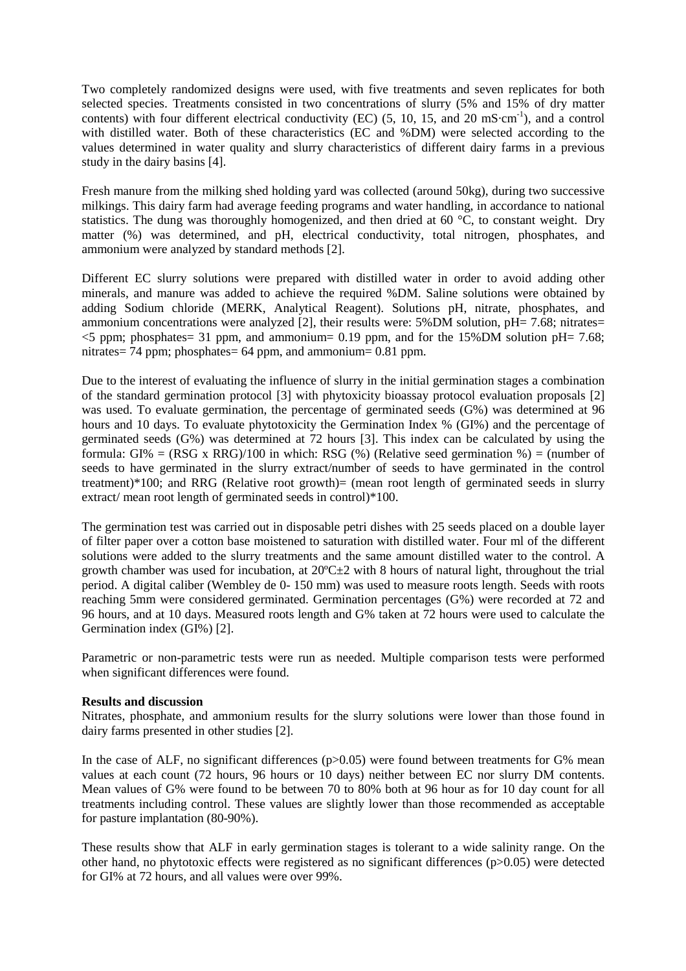Two completely randomized designs were used, with five treatments and seven replicates for both selected species. Treatments consisted in two concentrations of slurry (5% and 15% of dry matter contents) with four different electrical conductivity (EC) (5, 10, 15, and 20 mS·cm<sup>-1</sup>), and a control with distilled water. Both of these characteristics (EC and %DM) were selected according to the values determined in water quality and slurry characteristics of different dairy farms in a previous study in the dairy basins [4].

Fresh manure from the milking shed holding yard was collected (around 50kg), during two successive milkings. This dairy farm had average feeding programs and water handling, in accordance to national statistics. The dung was thoroughly homogenized, and then dried at 60 °C, to constant weight. Dry matter (%) was determined, and pH, electrical conductivity, total nitrogen, phosphates, and ammonium were analyzed by standard methods [2].

Different EC slurry solutions were prepared with distilled water in order to avoid adding other minerals, and manure was added to achieve the required %DM. Saline solutions were obtained by adding Sodium chloride (MERK, Analytical Reagent). Solutions pH, nitrate, phosphates, and ammonium concentrations were analyzed [2], their results were:  $5\%$  DM solution, pH= 7.68; nitrates=  $\leq$ 5 ppm; phosphates= 31 ppm, and ammonium= 0.19 ppm, and for the 15%DM solution pH= 7.68; nitrates= 74 ppm; phosphates= 64 ppm, and ammonium= 0.81 ppm.

Due to the interest of evaluating the influence of slurry in the initial germination stages a combination of the standard germination protocol [3] with phytoxicity bioassay protocol evaluation proposals [2] was used. To evaluate germination, the percentage of germinated seeds (G%) was determined at 96 hours and 10 days. To evaluate phytotoxicity the Germination Index % (GI%) and the percentage of germinated seeds (G%) was determined at 72 hours [3]. This index can be calculated by using the formula: GI% = (RSG x RRG)/100 in which: RSG (%) (Relative seed germination %) = (number of seeds to have germinated in the slurry extract/number of seeds to have germinated in the control treatment)\*100; and RRG (Relative root growth)= (mean root length of germinated seeds in slurry extract/ mean root length of germinated seeds in control)\*100.

The germination test was carried out in disposable petri dishes with 25 seeds placed on a double layer of filter paper over a cotton base moistened to saturation with distilled water. Four ml of the different solutions were added to the slurry treatments and the same amount distilled water to the control. A growth chamber was used for incubation, at  $20^{\circ}$ C $\pm$ 2 with 8 hours of natural light, throughout the trial period. A digital caliber (Wembley de 0- 150 mm) was used to measure roots length. Seeds with roots reaching 5mm were considered germinated. Germination percentages (G%) were recorded at 72 and 96 hours, and at 10 days. Measured roots length and G% taken at 72 hours were used to calculate the Germination index (GI%) [2].

Parametric or non-parametric tests were run as needed. Multiple comparison tests were performed when significant differences were found.

## **Results and discussion**

Nitrates, phosphate, and ammonium results for the slurry solutions were lower than those found in dairy farms presented in other studies [2].

In the case of ALF, no significant differences ( $p>0.05$ ) were found between treatments for G% mean values at each count (72 hours, 96 hours or 10 days) neither between EC nor slurry DM contents. Mean values of G% were found to be between 70 to 80% both at 96 hour as for 10 day count for all treatments including control. These values are slightly lower than those recommended as acceptable for pasture implantation (80-90%).

These results show that ALF in early germination stages is tolerant to a wide salinity range. On the other hand, no phytotoxic effects were registered as no significant differences (p>0.05) were detected for GI% at 72 hours, and all values were over 99%.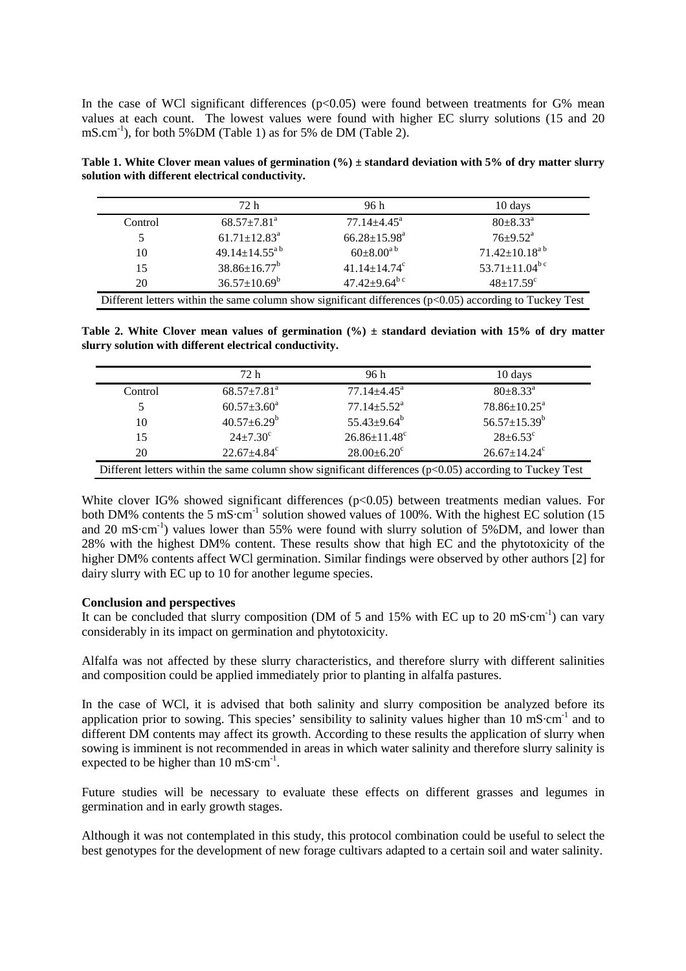In the case of WCl significant differences  $(p<0.05)$  were found between treatments for G% mean values at each count. The lowest values were found with higher EC slurry solutions (15 and 20  $\text{mS.cm}^{-1}$ , for both 5%DM (Table 1) as for 5% de DM (Table 2).

**Table 1. White Clover mean values of germination (%) ± standard deviation with 5% of dry matter slurry solution with different electrical conductivity.** 

|         | 72 h                           | 96 h                            | 10 days                         |
|---------|--------------------------------|---------------------------------|---------------------------------|
| Control | $68.57 \pm 7.81$ <sup>a</sup>  | $77.14 \pm 4.45$ <sup>a</sup>   | $80 \pm 8.33^{\circ}$           |
|         | $61.71 \pm 12.83$ <sup>a</sup> | $66.28 \pm 15.98^a$             | $76 \pm 9.52^{\text{a}}$        |
| 10      | $49.14 \pm 14.55^{a}$          | $60 \pm 8.00^{a}$               | $71.42 \pm 10.18^{ab}$          |
| 15      | $38.86 \pm 16.77^b$            | $41.14 \pm 14.74$ <sup>c</sup>  | 53.71 $\pm$ 11.04 <sup>bc</sup> |
| 20      | $36.57 \pm 10.69^b$            | 47.42 $\pm$ 9.64 <sup>b c</sup> | $48 \pm 17.59^c$                |

Table 2. White Clover mean values of germination (%)  $\pm$  standard deviation with 15% of dry matter **slurry solution with different electrical conductivity.** 

|                                                                                                         | 72 h                          | 96 h                           | 10 days                        |  |  |
|---------------------------------------------------------------------------------------------------------|-------------------------------|--------------------------------|--------------------------------|--|--|
| Control                                                                                                 | $68.57 \pm 7.81$ <sup>a</sup> | $77.14 \pm 4.45$ <sup>a</sup>  | $80 \pm 8.33$ <sup>a</sup>     |  |  |
|                                                                                                         | $60.57 \pm 3.60^a$            | $77.14 \pm 5.52$ <sup>a</sup>  | $78.86 \pm 10.25^{\text{a}}$   |  |  |
| 10                                                                                                      | $40.57 \pm 6.29^b$            | $55.43 \pm 9.64^b$             | 56.57 $\pm$ 15.39 <sup>b</sup> |  |  |
| 15                                                                                                      | $24 \pm 7.30^{\circ}$         | $26.86 \pm 11.48$ <sup>c</sup> | $28 \pm 6.53$ °                |  |  |
| 20                                                                                                      | $22.67 \pm 4.84$ <sup>c</sup> | $28.00 \pm 6.20$ <sup>c</sup>  | $26.67 \pm 14.24$ <sup>c</sup> |  |  |
| Different letters within the same column show significant differences (p<0.05) according to Tuckey Test |                               |                                |                                |  |  |

White clover IG% showed significant differences ( $p<0.05$ ) between treatments median values. For both DM% contents the 5 mS·cm<sup>-1</sup> solution showed values of 100%. With the highest EC solution (15) and 20 mS·cm<sup>-1</sup>) values lower than 55% were found with slurry solution of 5%DM, and lower than 28% with the highest DM% content. These results show that high EC and the phytotoxicity of the higher DM% contents affect WCl germination. Similar findings were observed by other authors [2] for dairy slurry with EC up to 10 for another legume species.

## **Conclusion and perspectives**

It can be concluded that slurry composition (DM of 5 and 15% with EC up to 20 mS·cm<sup>-1</sup>) can vary considerably in its impact on germination and phytotoxicity.

Alfalfa was not affected by these slurry characteristics, and therefore slurry with different salinities and composition could be applied immediately prior to planting in alfalfa pastures.

In the case of WCl, it is advised that both salinity and slurry composition be analyzed before its application prior to sowing. This species' sensibility to salinity values higher than  $10 \text{ mS} \cdot \text{cm}^{-1}$  and to different DM contents may affect its growth. According to these results the application of slurry when sowing is imminent is not recommended in areas in which water salinity and therefore slurry salinity is expected to be higher than  $10 \text{ mS} \cdot \text{cm}^{-1}$ .

Future studies will be necessary to evaluate these effects on different grasses and legumes in germination and in early growth stages.

Although it was not contemplated in this study, this protocol combination could be useful to select the best genotypes for the development of new forage cultivars adapted to a certain soil and water salinity.